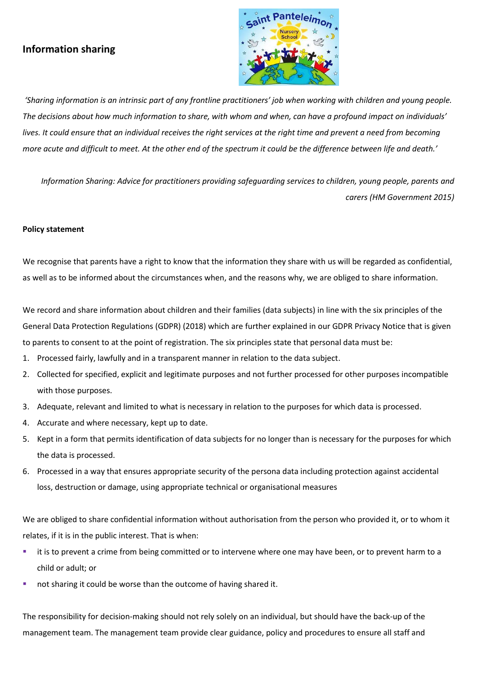# **Information sharing**



*'Sharing information is an intrinsic part of any frontline practitioners' job when working with children and young people. The decisions about how much information to share, with whom and when, can have a profound impact on individuals' lives. It could ensure that an individual receives the right services at the right time and prevent a need from becoming more acute and difficult to meet. At the other end of the spectrum it could be the difference between life and death.'*

*Information Sharing: Advice for practitioners providing safeguarding services to children, young people, parents and carers (HM Government 2015)*

# **Policy statement**

We recognise that parents have a right to know that the information they share with us will be regarded as confidential, as well as to be informed about the circumstances when, and the reasons why, we are obliged to share information.

We record and share information about children and their families (data subjects) in line with the six principles of the General Data Protection Regulations (GDPR) (2018) which are further explained in our GDPR Privacy Notice that is given to parents to consent to at the point of registration. The six principles state that personal data must be:

- 1. Processed fairly, lawfully and in a transparent manner in relation to the data subject.
- 2. Collected for specified, explicit and legitimate purposes and not further processed for other purposes incompatible with those purposes.
- 3. Adequate, relevant and limited to what is necessary in relation to the purposes for which data is processed.
- 4. Accurate and where necessary, kept up to date.
- 5. Kept in a form that permits identification of data subjects for no longer than is necessary for the purposes for which the data is processed.
- 6. Processed in a way that ensures appropriate security of the persona data including protection against accidental loss, destruction or damage, using appropriate technical or organisational measures

We are obliged to share confidential information without authorisation from the person who provided it, or to whom it relates, if it is in the public interest. That is when:

- it is to prevent a crime from being committed or to intervene where one may have been, or to prevent harm to a child or adult; or
- not sharing it could be worse than the outcome of having shared it.

The responsibility for decision-making should not rely solely on an individual, but should have the back-up of the management team. The management team provide clear guidance, policy and procedures to ensure all staff and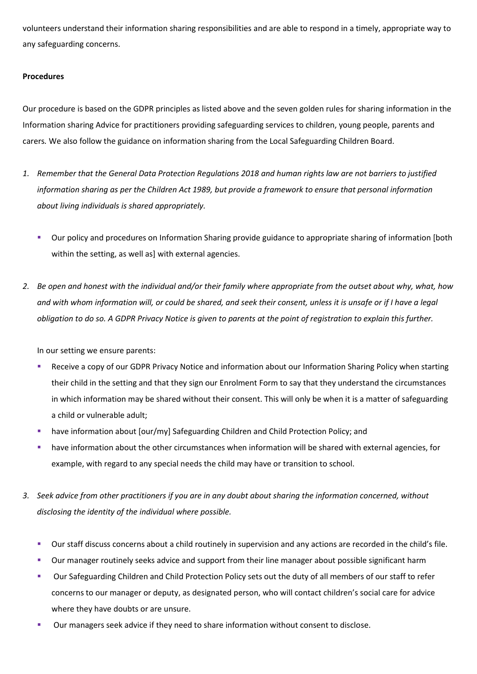volunteers understand their information sharing responsibilities and are able to respond in a timely, appropriate way to any safeguarding concerns.

# **Procedures**

Our procedure is based on the GDPR principles as listed above and the seven golden rules for sharing information in the Information sharing Advice for practitioners providing safeguarding services to children, young people, parents and carers*.* We also follow the guidance on information sharing from the Local Safeguarding Children Board.

- *1. Remember that the General Data Protection Regulations 2018 and human rights law are not barriers to justified information sharing as per the Children Act 1989, but provide a framework to ensure that personal information about living individuals is shared appropriately.*
	- Our policy and procedures on Information Sharing provide guidance to appropriate sharing of information [both within the setting, as well as] with external agencies.
- *2. Be open and honest with the individual and/or their family where appropriate from the outset about why, what, how and with whom information will, or could be shared, and seek their consent, unless it is unsafe or if I have a legal obligation to do so. A GDPR Privacy Notice is given to parents at the point of registration to explain this further.*

In our setting we ensure parents:

- Receive a copy of our GDPR Privacy Notice and information about our Information Sharing Policy when starting their child in the setting and that they sign our Enrolment Form to say that they understand the circumstances in which information may be shared without their consent. This will only be when it is a matter of safeguarding a child or vulnerable adult;
- have information about [our/my] Safeguarding Children and Child Protection Policy; and
- have information about the other circumstances when information will be shared with external agencies, for example, with regard to any special needs the child may have or transition to school.
- *3. Seek advice from other practitioners if you are in any doubt about sharing the information concerned, without disclosing the identity of the individual where possible.*
	- Our staff discuss concerns about a child routinely in supervision and any actions are recorded in the child's file.
	- Our manager routinely seeks advice and support from their line manager about possible significant harm
	- Our Safeguarding Children and Child Protection Policy sets out the duty of all members of our staff to refer concerns to our manager or deputy, as designated person, who will contact children's social care for advice where they have doubts or are unsure.
	- Our managers seek advice if they need to share information without consent to disclose.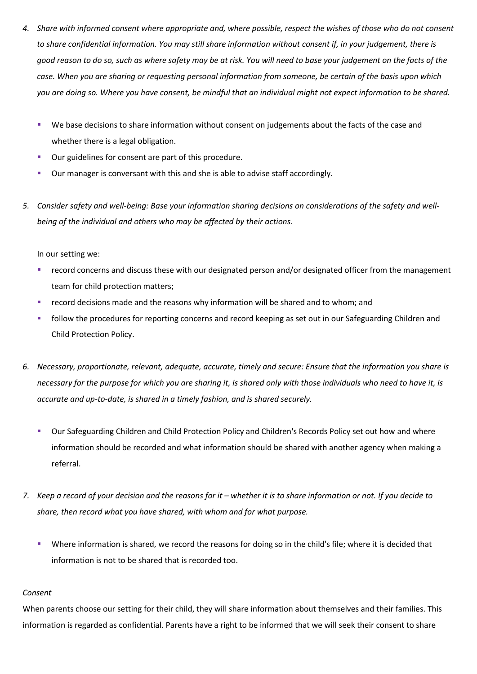- *4. Share with informed consent where appropriate and, where possible, respect the wishes of those who do not consent to share confidential information. You may still share information without consent if, in your judgement, there is good reason to do so, such as where safety may be at risk. You will need to base your judgement on the facts of the case. When you are sharing or requesting personal information from someone, be certain of the basis upon which you are doing so. Where you have consent, be mindful that an individual might not expect information to be shared.* 
	- We base decisions to share information without consent on judgements about the facts of the case and whether there is a legal obligation.
	- Our guidelines for consent are part of this procedure.
	- Our manager is conversant with this and she is able to advise staff accordingly.
- *5. Consider safety and well-being: Base your information sharing decisions on considerations of the safety and wellbeing of the individual and others who may be affected by their actions.*

In our setting we:

- record concerns and discuss these with our designated person and/or designated officer from the management team for child protection matters;
- record decisions made and the reasons why information will be shared and to whom; and
- follow the procedures for reporting concerns and record keeping as set out in our Safeguarding Children and Child Protection Policy.
- *6. Necessary, proportionate, relevant, adequate, accurate, timely and secure: Ensure that the information you share is necessary for the purpose for which you are sharing it, is shared only with those individuals who need to have it, is accurate and up-to-date, is shared in a timely fashion, and is shared securely.*
	- Our Safeguarding Children and Child Protection Policy and Children's Records Policy set out how and where information should be recorded and what information should be shared with another agency when making a referral.
- *7. Keep a record of your decision and the reasons for it whether it is to share information or not. If you decide to share, then record what you have shared, with whom and for what purpose.*
	- Where information is shared, we record the reasons for doing so in the child's file; where it is decided that information is not to be shared that is recorded too.

### *Consent*

When parents choose our setting for their child, they will share information about themselves and their families. This information is regarded as confidential. Parents have a right to be informed that we will seek their consent to share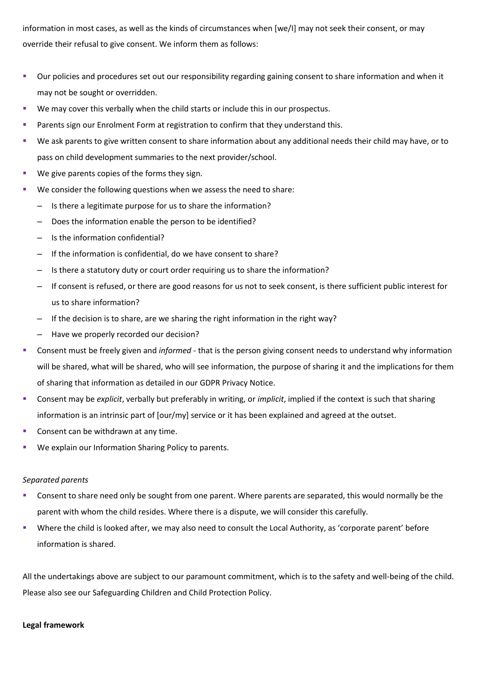information in most cases, as well as the kinds of circumstances when [we/I] may not seek their consent, or may override their refusal to give consent. We inform them as follows:

- Our policies and procedures set out our responsibility regarding gaining consent to share information and when it may not be sought or overridden.
- We may cover this verbally when the child starts or include this in our prospectus.
- Parents sign our Enrolment Form at registration to confirm that they understand this.
- We ask parents to give written consent to share information about any additional needs their child may have, or to pass on child development summaries to the next provider/school.
- We give parents copies of the forms they sign.
- We consider the following questions when we assess the need to share:
	- Is there a legitimate purpose for us to share the information?
	- Does the information enable the person to be identified?
	- Is the information confidential?
	- If the information is confidential, do we have consent to share?
	- Is there a statutory duty or court order requiring us to share the information?
	- If consent is refused, or there are good reasons for us not to seek consent, is there sufficient public interest for us to share information?
	- If the decision is to share, are we sharing the right information in the right way?
	- Have we properly recorded our decision?
- Consent must be freely given and *informed* that is the person giving consent needs to understand why information will be shared, what will be shared, who will see information, the purpose of sharing it and the implications for them of sharing that information as detailed in our GDPR Privacy Notice.
- Consent may be *explicit*, verbally but preferably in writing, or *implicit*, implied if the context is such that sharing information is an intrinsic part of [our/my] service or it has been explained and agreed at the outset.
- Consent can be withdrawn at any time.
- We explain our Information Sharing Policy to parents.

### *Separated parents*

- Consent to share need only be sought from one parent. Where parents are separated, this would normally be the parent with whom the child resides. Where there is a dispute, we will consider this carefully.
- Where the child is looked after, we may also need to consult the Local Authority, as 'corporate parent' before information is shared.

All the undertakings above are subject to our paramount commitment, which is to the safety and well-being of the child. Please also see our Safeguarding Children and Child Protection Policy.

#### **Legal framework**